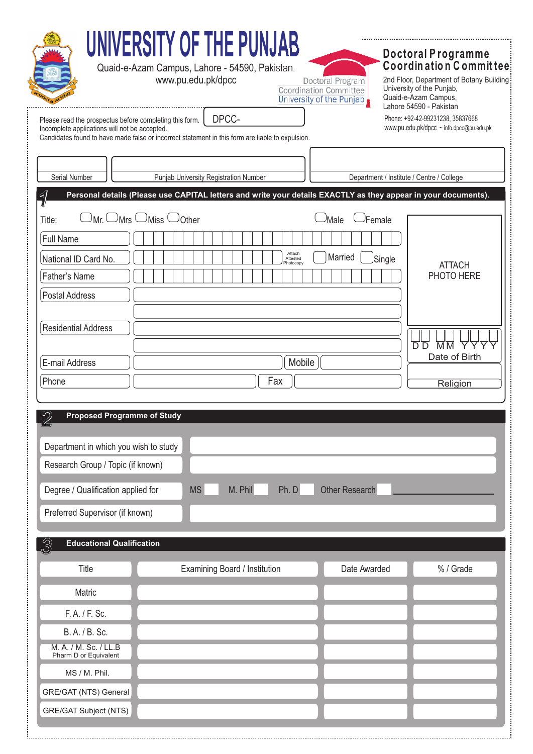| UNIVERSITY OF THE PUNJAB<br>Quaid-e-Azam Campus, Lahore - 54590, Pakistan.<br>www.pu.edu.pk/dpcc<br>Doctoral Program<br><b>Coordination Committee</b><br>University of the Punjab<br>DPCC-<br>Please read the prospectus before completing this form.<br>Incomplete applications will not be accepted.<br>Candidates found to have made false or incorrect statement in this form are liable to expulsion. | <b>Doctoral Programme</b><br>Coordin ation Committee<br>2nd Floor, Department of Botany Building<br>University of the Punjab,<br>Quaid-e-Azam Campus,<br>Lahore 54590 - Pakistan<br>Phone: +92-42-99231238, 35837668<br>www.pu.edu.pk/dpcc ~ info.dpcc@pu.edu.pk |
|------------------------------------------------------------------------------------------------------------------------------------------------------------------------------------------------------------------------------------------------------------------------------------------------------------------------------------------------------------------------------------------------------------|------------------------------------------------------------------------------------------------------------------------------------------------------------------------------------------------------------------------------------------------------------------|
|                                                                                                                                                                                                                                                                                                                                                                                                            |                                                                                                                                                                                                                                                                  |
| Serial Number<br>Punjab University Registration Number<br>Personal details (Please use CAPITAL letters and write your details EXACTLY as they appear in your documents).                                                                                                                                                                                                                                   | Department / Institute / Centre / College                                                                                                                                                                                                                        |
| $\epsilon$<br>$\cup_{\mathsf{Mr}}\hspace{0.02cm} \cup_{\mathsf{Mrs}}\hspace{0.02cm} \cup_{\mathsf{Miss}}\hspace{0.02cm} \cup_{\mathsf{Other}}$<br><sup>J</sup> Female<br>⊃Male<br>Title:<br>Full Name<br>Attach<br>Married<br>Single<br>National ID Card No.<br>Attested<br>Photocopy<br>Father's Name<br><b>Postal Address</b><br><b>Residential Address</b><br>E-mail Address<br>Mobile<br>Phone<br>Fax  | <b>ATTACH</b><br>PHOTO HERE<br><b>MM YYY</b><br>D D<br>Date of Birth<br>Religion                                                                                                                                                                                 |
| <b>Proposed Programme of Study</b><br>Department in which you wish to study<br>Research Group / Topic (if known)<br><b>Other Research</b><br><b>MS</b><br>Ph. D<br>M. Phil<br>Degree / Qualification applied for<br>Preferred Supervisor (if known)                                                                                                                                                        |                                                                                                                                                                                                                                                                  |
| <b>Educational Qualification</b><br>$\mathbb{S}$                                                                                                                                                                                                                                                                                                                                                           |                                                                                                                                                                                                                                                                  |
| Date Awarded<br>Title<br>Examining Board / Institution                                                                                                                                                                                                                                                                                                                                                     | % / Grade                                                                                                                                                                                                                                                        |
| Matric                                                                                                                                                                                                                                                                                                                                                                                                     |                                                                                                                                                                                                                                                                  |
| F. A. / F. Sc.                                                                                                                                                                                                                                                                                                                                                                                             |                                                                                                                                                                                                                                                                  |
| B. A. / B. Sc.                                                                                                                                                                                                                                                                                                                                                                                             |                                                                                                                                                                                                                                                                  |
| M. A. / M. Sc. / LL.B<br>Pharm D or Equivalent                                                                                                                                                                                                                                                                                                                                                             |                                                                                                                                                                                                                                                                  |
| MS / M. Phil.                                                                                                                                                                                                                                                                                                                                                                                              |                                                                                                                                                                                                                                                                  |
| GRE/GAT (NTS) General                                                                                                                                                                                                                                                                                                                                                                                      |                                                                                                                                                                                                                                                                  |
| <b>GRE/GAT Subject (NTS)</b>                                                                                                                                                                                                                                                                                                                                                                               |                                                                                                                                                                                                                                                                  |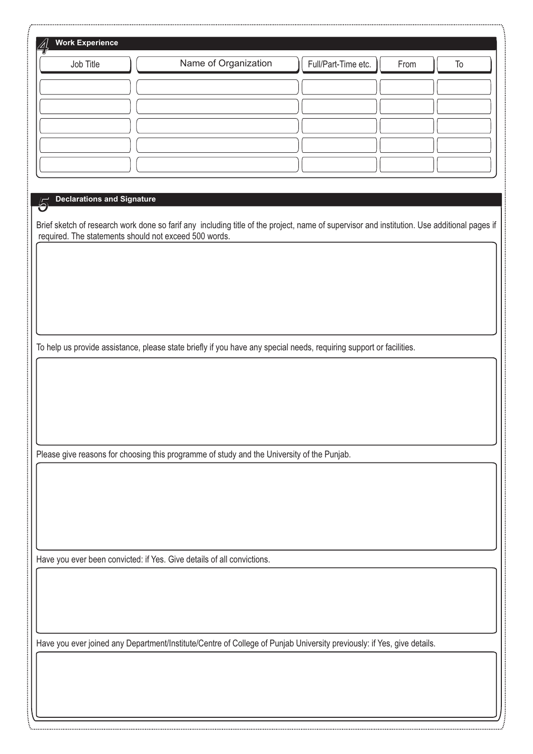| <b>Work Experience</b>            |                                                                                                                                                                                                      |                     |            |
|-----------------------------------|------------------------------------------------------------------------------------------------------------------------------------------------------------------------------------------------------|---------------------|------------|
| Job Title                         | Name of Organization                                                                                                                                                                                 | Full/Part-Time etc. | From<br>To |
|                                   |                                                                                                                                                                                                      |                     |            |
|                                   |                                                                                                                                                                                                      |                     |            |
|                                   |                                                                                                                                                                                                      |                     |            |
|                                   |                                                                                                                                                                                                      |                     |            |
|                                   |                                                                                                                                                                                                      |                     |            |
| <b>Declarations and Signature</b> |                                                                                                                                                                                                      |                     |            |
|                                   |                                                                                                                                                                                                      |                     |            |
|                                   | Brief sketch of research work done so farif any including title of the project, name of supervisor and institution. Use additional pages if<br>required. The statements should not exceed 500 words. |                     |            |
|                                   |                                                                                                                                                                                                      |                     |            |
|                                   |                                                                                                                                                                                                      |                     |            |
|                                   |                                                                                                                                                                                                      |                     |            |
|                                   |                                                                                                                                                                                                      |                     |            |
|                                   | To help us provide assistance, please state briefly if you have any special needs, requiring support or facilities.                                                                                  |                     |            |
|                                   |                                                                                                                                                                                                      |                     |            |
|                                   |                                                                                                                                                                                                      |                     |            |
|                                   |                                                                                                                                                                                                      |                     |            |
|                                   |                                                                                                                                                                                                      |                     |            |
|                                   |                                                                                                                                                                                                      |                     |            |
|                                   | Please give reasons for choosing this programme of study and the University of the Punjab.                                                                                                           |                     |            |
|                                   |                                                                                                                                                                                                      |                     |            |
|                                   |                                                                                                                                                                                                      |                     |            |
|                                   |                                                                                                                                                                                                      |                     |            |
|                                   |                                                                                                                                                                                                      |                     |            |
|                                   | Have you ever been convicted: if Yes. Give details of all convictions.                                                                                                                               |                     |            |
|                                   |                                                                                                                                                                                                      |                     |            |
|                                   |                                                                                                                                                                                                      |                     |            |
|                                   |                                                                                                                                                                                                      |                     |            |
|                                   | Have you ever joined any Department/Institute/Centre of College of Punjab University previously: if Yes, give details.                                                                               |                     |            |
|                                   |                                                                                                                                                                                                      |                     |            |
|                                   |                                                                                                                                                                                                      |                     |            |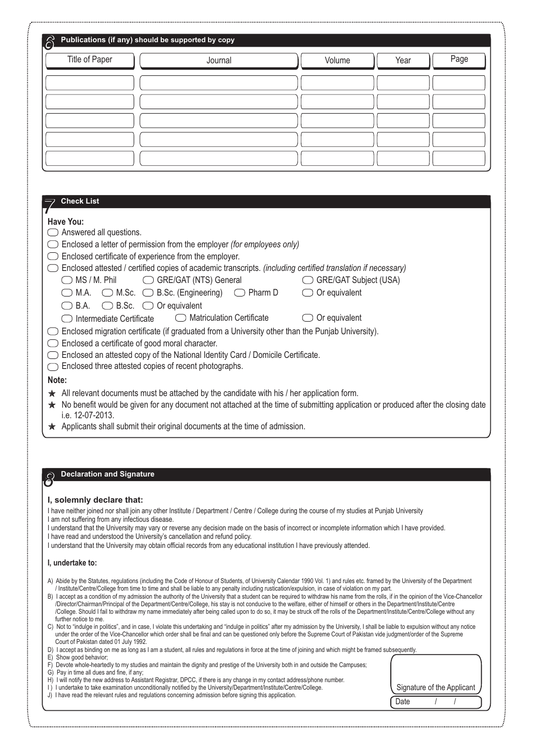| <b>Title of Paper</b><br><b>Check List</b><br>Have You:<br>Answered all questions.<br>Enclosed attested / certified copies of academic transcripts. (including certified translation if necessary)<br>$\bigcirc$ MS / M. Phil | Journal<br>Enclosed a letter of permission from the employer (for employees only)<br>Enclosed certificate of experience from the employer. | Volume                   | Year | Page |
|-------------------------------------------------------------------------------------------------------------------------------------------------------------------------------------------------------------------------------|--------------------------------------------------------------------------------------------------------------------------------------------|--------------------------|------|------|
|                                                                                                                                                                                                                               |                                                                                                                                            |                          |      |      |
|                                                                                                                                                                                                                               |                                                                                                                                            |                          |      |      |
|                                                                                                                                                                                                                               |                                                                                                                                            |                          |      |      |
|                                                                                                                                                                                                                               |                                                                                                                                            |                          |      |      |
|                                                                                                                                                                                                                               |                                                                                                                                            |                          |      |      |
|                                                                                                                                                                                                                               |                                                                                                                                            |                          |      |      |
|                                                                                                                                                                                                                               |                                                                                                                                            |                          |      |      |
|                                                                                                                                                                                                                               |                                                                                                                                            |                          |      |      |
|                                                                                                                                                                                                                               |                                                                                                                                            |                          |      |      |
|                                                                                                                                                                                                                               |                                                                                                                                            |                          |      |      |
|                                                                                                                                                                                                                               |                                                                                                                                            |                          |      |      |
|                                                                                                                                                                                                                               |                                                                                                                                            |                          |      |      |
|                                                                                                                                                                                                                               |                                                                                                                                            |                          |      |      |
|                                                                                                                                                                                                                               |                                                                                                                                            |                          |      |      |
|                                                                                                                                                                                                                               | GRE/GAT (NTS) General                                                                                                                      | GRE/GAT Subject (USA)    |      |      |
|                                                                                                                                                                                                                               | $\bigcirc$ M.A. $\bigcirc$ M.Sc. $\bigcirc$ B.Sc. (Engineering) $\bigcirc$ Pharm D                                                         | Or equivalent            |      |      |
| B.A.                                                                                                                                                                                                                          | $\bigcirc$ B.Sc. $\bigcirc$ Or equivalent                                                                                                  |                          |      |      |
| Intermediate Certificate                                                                                                                                                                                                      | ◯ Matriculation Certificate                                                                                                                | $\bigcirc$ Or equivalent |      |      |
|                                                                                                                                                                                                                               | Enclosed migration certificate (if graduated from a University other than the Punjab University).                                          |                          |      |      |
| Enclosed a certificate of good moral character.                                                                                                                                                                               |                                                                                                                                            |                          |      |      |
|                                                                                                                                                                                                                               | Enclosed an attested copy of the National Identity Card / Domicile Certificate.<br>Enclosed three attested copies of recent photographs.   |                          |      |      |
| Note:                                                                                                                                                                                                                         |                                                                                                                                            |                          |      |      |
|                                                                                                                                                                                                                               | $\star$ All relevant documents must be attached by the candidate with his / her application form.                                          |                          |      |      |
|                                                                                                                                                                                                                               | No benefit would be given for any document not attached at the time of submitting application or produced after the closing date           |                          |      |      |
| i.e. 12-07-2013.                                                                                                                                                                                                              |                                                                                                                                            |                          |      |      |
|                                                                                                                                                                                                                               | ★ Applicants shall submit their original documents at the time of admission.                                                               |                          |      |      |

C) Not to "indulge in politics", and in case, I violate this undertaking and "indulge in politics" after my admission by the University, I shall be liable to expulsion without any notice under the order of the Vice-Chancellor which order shall be final and can be questioned only before the Supreme Court of Pakistan vide judgment/order of the Supreme Court of Pakistan dated 01 July 1992.

| D) I accept as binding on me as long as I am a student, all rules and regulations in force at the time of joining and which might be framed subsequently. |      |                            |  |
|-----------------------------------------------------------------------------------------------------------------------------------------------------------|------|----------------------------|--|
| E) Show good behavior;                                                                                                                                    |      |                            |  |
| F) Devote whole-heartedly to my studies and maintain the dignity and prestige of the University both in and outside the Campuses;                         |      |                            |  |
| G) Pay in time all dues and fine, if any;                                                                                                                 |      |                            |  |
| H) I will notify the new address to Assistant Registrar, DPCC, if there is any change in my contact address/phone number.                                 |      |                            |  |
| 1) I undertake to take examination unconditionally notified by the University/Department/Institute/Centre/College.                                        |      | Signature of the Applicant |  |
| J) I have read the relevant rules and regulations concerning admission before signing this application.                                                   |      |                            |  |
|                                                                                                                                                           | Date |                            |  |
|                                                                                                                                                           |      |                            |  |